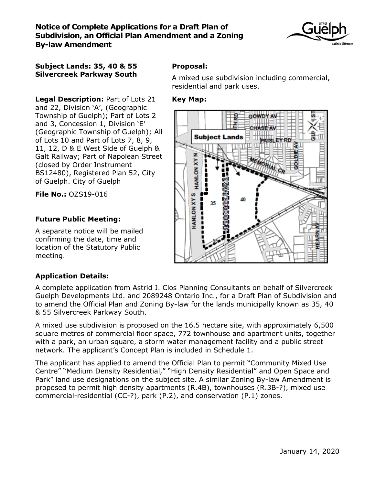

### **Subject Lands: 35, 40 & 55 Silvercreek Parkway South**

**Legal Description:** Part of Lots 21 and 22, Division 'A', (Geographic Township of Guelph); Part of Lots 2 and 3, Concession 1, Division 'E' (Geographic Township of Guelph); All of Lots 10 and Part of Lots 7, 8, 9, 11, 12, D & E West Side of Guelph & Galt Railway; Part of Napolean Street (closed by Order Instrument BS12480), Registered Plan 52, City of Guelph. City of Guelph

**File No.:** OZS19-016

# **Future Public Meeting:**

A separate notice will be mailed confirming the date, time and location of the Statutory Public meeting.

# **Proposal:**

A mixed use subdivision including commercial, residential and park uses.

## **Key Map:**



# **Application Details:**

A complete application from Astrid J. Clos Planning Consultants on behalf of Silvercreek Guelph Developments Ltd. and 2089248 Ontario Inc., for a Draft Plan of Subdivision and to amend the Official Plan and Zoning By-law for the lands municipally known as 35, 40 & 55 Silvercreek Parkway South.

A mixed use subdivision is proposed on the 16.5 hectare site, with approximately 6,500 square metres of commercial floor space, 772 townhouse and apartment units, together with a park, an urban square, a storm water management facility and a public street network. The applicant's Concept Plan is included in Schedule 1.

The applicant has applied to amend the Official Plan to permit "Community Mixed Use Centre" "Medium Density Residential," "High Density Residential" and Open Space and Park" land use designations on the subject site. A similar Zoning By-law Amendment is proposed to permit high density apartments (R.4B), townhouses (R.3B-?), mixed use commercial-residential (CC-?), park (P.2), and conservation (P.1) zones.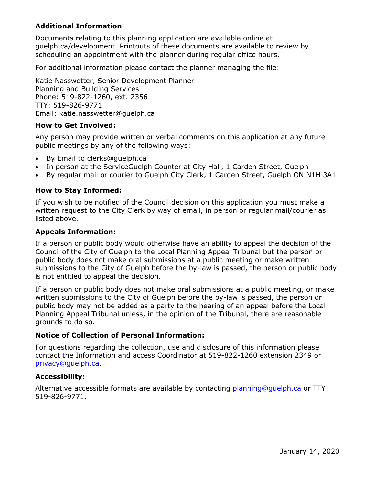## **Additional Information**

Documents relating to this planning application are available online at guelph.ca/development. Printouts of these documents are available to review by scheduling an appointment with the planner during regular office hours.

For additional information please contact the planner managing the file:

Katie Nasswetter, Senior Development Planner Planning and Building Services Phone: 519-822-1260, ext. 2356 TTY: 519-826-9771 Email: katie.nasswetter@guelph.ca

#### **How to Get Involved:**

Any person may provide written or verbal comments on this application at any future public meetings by any of the following ways:

- By Email to clerks@guelph.ca
- In person at the ServiceGuelph Counter at City Hall, 1 Carden Street, Guelph
- By regular mail or courier to Guelph City Clerk, 1 Carden Street, Guelph ON N1H 3A1

#### **How to Stay Informed:**

If you wish to be notified of the Council decision on this application you must make a written request to the City Clerk by way of email, in person or regular mail/courier as listed above.

#### **Appeals Information:**

If a person or public body would otherwise have an ability to appeal the decision of the Council of the City of Guelph to the Local Planning Appeal Tribunal but the person or public body does not make oral submissions at a public meeting or make written submissions to the City of Guelph before the by-law is passed, the person or public body is not entitled to appeal the decision.

If a person or public body does not make oral submissions at a public meeting, or make written submissions to the City of Guelph before the by-law is passed, the person or public body may not be added as a party to the hearing of an appeal before the Local Planning Appeal Tribunal unless, in the opinion of the Tribunal, there are reasonable grounds to do so.

#### **Notice of Collection of Personal Information:**

For questions regarding the collection, use and disclosure of this information please contact the Information and access Coordinator at 519-822-1260 extension 2349 or [privacy@guelph.ca.](mailto:privacy@guelph.ca)

#### **Accessibility:**

Alternative accessible formats are available by contacting [planning@guelph.ca](mailto:planning@guelph.ca) or TTY 519-826-9771.